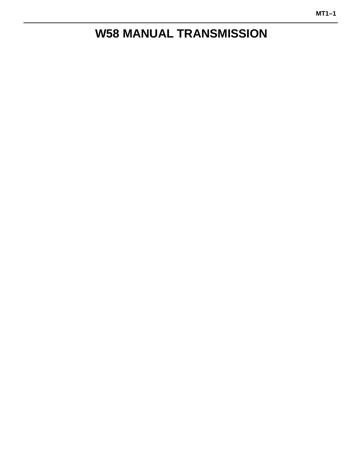# **W58 MANUAL TRANSMISSION**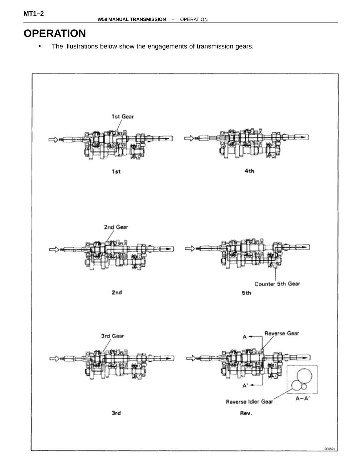# **OPERATION**

• The illustrations below show the engagements of transmission gears.

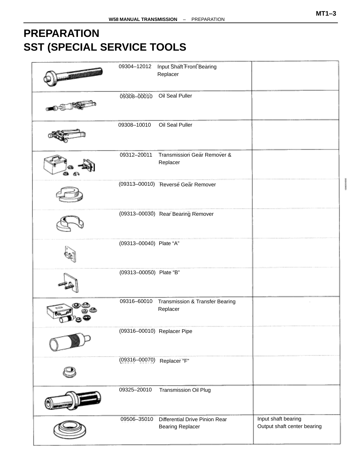# <span id="page-2-0"></span>**PREPARATION SST (SPECIAL SERVICE TOOLS**

| 09304-12012             | <b>Input Shaft Front Bearing</b><br>Replacer              |                                                    |
|-------------------------|-----------------------------------------------------------|----------------------------------------------------|
| 09308-00010             | Oil Seal Puller                                           |                                                    |
| 09308-10010             | Oil Seal Puller                                           |                                                    |
|                         |                                                           |                                                    |
| 09312-20011             | Transmission Gear Remover &<br>Replacer                   |                                                    |
|                         | (09313-00010) Reverse Gear Remover                        |                                                    |
|                         | (09313-00030) Rear Bearing Remover                        |                                                    |
| (09313-00040) Plate "A" |                                                           |                                                    |
| (09313-00050) Plate "B" |                                                           |                                                    |
| 09316-60010             | Transmission & Transfer Bearing<br>Replacer               |                                                    |
|                         | (09316-00010) Replacer Pipe                               |                                                    |
| $(09316 - 00070)$       | Replacer "F"                                              |                                                    |
| 09325-20010             | Transmission Oil Plug                                     |                                                    |
| 09506-35010             | Differential Drive Pinion Rear<br><b>Bearing Replacer</b> | Input shaft bearing<br>Output shaft center bearing |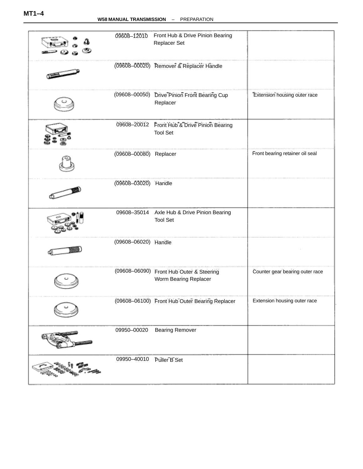| 09608-12010            | Front Hub & Drive Pinion Bearing<br>Replacer Set                  |                                 |
|------------------------|-------------------------------------------------------------------|---------------------------------|
|                        | (09608-00020) Remover & Replacer Handle                           |                                 |
|                        | (09608-00050) Drive Pinion Front Bearing Cup<br>Replacer          | Extension housing outer race    |
|                        | 09608-20012 Front Hub & Drive Pinion Bearing<br><b>Tool Set</b>   |                                 |
| (09608-00080) Replacer |                                                                   | Front bearing retainer oil seal |
| (09608-03020) Handle   |                                                                   |                                 |
| 09608-35014            | Axle Hub & Drive Pinion Bearing<br><b>Tool Set</b>                |                                 |
| (09608-06020) Handle   |                                                                   |                                 |
|                        | (09608-06090) Front Hub Outer & Steering<br>Worm Bearing Replacer | Counter gear bearing outer race |
|                        | (09608-06100) Front Hub Outer Bearing Replacer                    | Extension housing outer race    |
| 09950-00020            | <b>Bearing Remover</b>                                            |                                 |
| 09950-40010            | Puller B Set                                                      |                                 |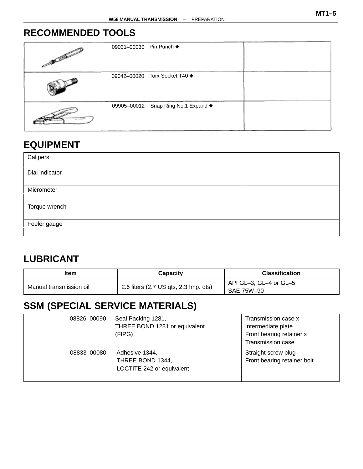### **RECOMMENDED TOOLS**

| <b>DELIVERED</b>              | 09031-00030 Pin Punch ♦ |                                     |  |
|-------------------------------|-------------------------|-------------------------------------|--|
|                               |                         | 09042-00020 Torx Socket T40 ♦       |  |
| $\alpha=1.5$ and $\alpha=1.5$ |                         | 09905-00012 Snap Ring No.1 Expand ♦ |  |

### **EQUIPMENT**

| Calipers       |  |
|----------------|--|
| Dial indicator |  |
| Micrometer     |  |
| Torque wrench  |  |
| Feeler gauge   |  |

### **LUBRICANT**

| ltem                    | Capacity                              | <b>Classification</b>  |
|-------------------------|---------------------------------------|------------------------|
|                         |                                       | API GL-3, GL-4 or GL-5 |
| Manual transmission oil | 2.6 liters (2.7 US qts, 2.3 lmp. qts) | SAE 75W-90             |

# **SSM (SPECIAL SERVICE MATERIALS)**

| 08826-00090 | Seal Packing 1281,<br>THREE BOND 1281 or equivalent<br>(FIPG)   | Transmission case x<br>Intermediate plate<br>Front bearing retainer x<br>Transmission case |
|-------------|-----------------------------------------------------------------|--------------------------------------------------------------------------------------------|
| 08833-00080 | Adhesive 1344,<br>THREE BOND 1344,<br>LOCTITE 242 or equivalent | Straight screw plug<br>Front bearing retainer bolt                                         |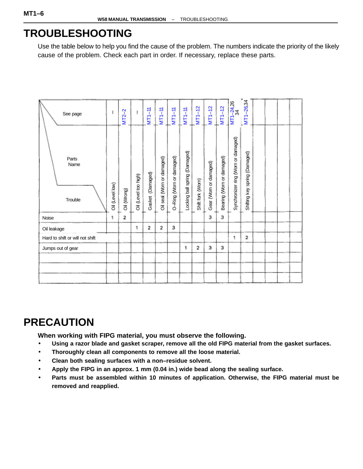## **TROUBLESHOOTING**

Use the table below to help you find the cause of the problem. The numbers indicate the priority of the likely cause of the problem. Check each part in order. If necessary, replace these parts.

| See page                        |                 | $MT2-2$     |                      | $MT1-11$            | $MT1-11$                   | $MT1-11$                 | $MT1-11$                      | $MT1-12$          | $MT1-12$               | $MT1-12$                  | $\frac{1}{24}$<br>34                | $MT1 - 26,34$                 |  |  |
|---------------------------------|-----------------|-------------|----------------------|---------------------|----------------------------|--------------------------|-------------------------------|-------------------|------------------------|---------------------------|-------------------------------------|-------------------------------|--|--|
| Parts<br>Name<br>Trouble        | Oil (Level low) | Oil (Wrong) | Oil (Level too high) | (Damaged)<br>Gasket | Oil seal (Worn or damaged) | O-Ring (Worn or damaged) | Locking ball spring (Damaged) | Shift fork (Worn) | Gear (Worn or damaged) | Bearing (Worn or damaged) | Synchronizer ring (Worn or damaged) | Shifting key spring (Damaged) |  |  |
| Noise                           | 1               | 2           |                      |                     |                            |                          |                               |                   | 3                      | з                         |                                     |                               |  |  |
| Oil leakage                     |                 |             | 1                    | 2                   | 2                          | з                        |                               |                   |                        |                           |                                     |                               |  |  |
| Hard to shift or will not shift |                 |             |                      |                     |                            |                          |                               |                   |                        |                           | 1                                   | $\overline{2}$                |  |  |
| Jumps out of gear               |                 |             |                      |                     |                            |                          | 1                             | 2                 | з                      | з                         |                                     |                               |  |  |
|                                 |                 |             |                      |                     |                            |                          |                               |                   |                        |                           |                                     |                               |  |  |
|                                 |                 |             |                      |                     |                            |                          |                               |                   |                        |                           |                                     |                               |  |  |
|                                 |                 |             |                      |                     |                            |                          |                               |                   |                        |                           |                                     |                               |  |  |

# **PRECAUTION**

**When working with FIPG material, you must observe the following.**

- **Using a razor blade and gasket scraper, remove all the old FIPG material from the gasket surfaces.**
- **Thoroughly clean all components to remove all the loose material.**
- **Clean both sealing surfaces with a non–residue solvent.**
- **Apply the FIPG in an approx. 1 mm (0.04 in.) wide bead along the sealing surface.**
- **Parts must be assembled within 10 minutes of application. Otherwise, the FIPG material must be removed and reapplied.**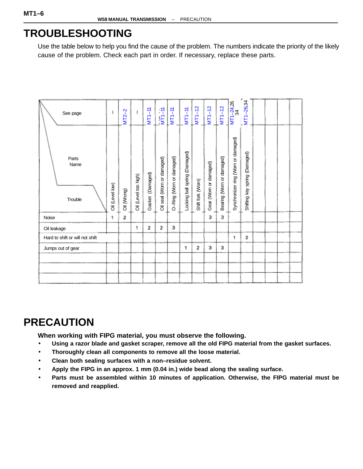## **TROUBLESHOOTING**

Use the table below to help you find the cause of the problem. The numbers indicate the priority of the likely cause of the problem. Check each part in order. If necessary, replace these parts.

| See page                        |                 | $MT2-2$     |                      | $MT1-11$            | $MT1-11$                  | $MT1-11$                 | $MT1-11$                      | $MT1 - 12$        | $MT1 - 12$             | $MT1-12$                  | $\frac{1}{24}$<br>34               | MT1-26,34                           |  |  |
|---------------------------------|-----------------|-------------|----------------------|---------------------|---------------------------|--------------------------|-------------------------------|-------------------|------------------------|---------------------------|------------------------------------|-------------------------------------|--|--|
| Parts<br>Name<br>Trouble        | Oil (Level low) | Oil (Wrong) | Oil (Level too high) | (Damaged)<br>Gasket | Oil seal (Wom or damaged) | O-Ring (Worn or damaged) | Locking ball spring (Damaged) | Shift fork (Worn) | Gear (Worn or damaged) | Bearing (Worn or damaged) | Synchronizer ring (Wom or damaged) | (Damaged)<br>spring<br>Shifting key |  |  |
| Noise                           | 1               | 2           |                      |                     |                           |                          |                               |                   | 3                      | з                         |                                    |                                     |  |  |
| Oil leakage                     |                 |             | 1                    | 2                   | 2                         | з                        |                               |                   |                        |                           |                                    |                                     |  |  |
| Hard to shift or will not shift |                 |             |                      |                     |                           |                          |                               |                   |                        |                           | 1                                  | $\overline{2}$                      |  |  |
| Jumps out of gear               |                 |             |                      |                     |                           |                          | 1                             | 2                 | з                      | з                         |                                    |                                     |  |  |
|                                 |                 |             |                      |                     |                           |                          |                               |                   |                        |                           |                                    |                                     |  |  |
|                                 |                 |             |                      |                     |                           |                          |                               |                   |                        |                           |                                    |                                     |  |  |

# **PRECAUTION**

**When working with FIPG material, you must observe the following.**

- **Using a razor blade and gasket scraper, remove all the old FIPG material from the gasket surfaces.**
- **Thoroughly clean all components to remove all the loose material.**
- **Clean both sealing surfaces with a non–residue solvent.**
- **Apply the FIPG in an approx. 1 mm (0.04 in.) wide bead along the sealing surface.**
- **Parts must be assembled within 10 minutes of application. Otherwise, the FIPG material must be removed and reapplied.**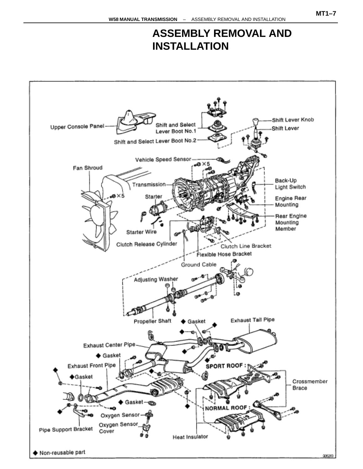## **ASSEMBLY REMOVAL AND INSTALLATION**

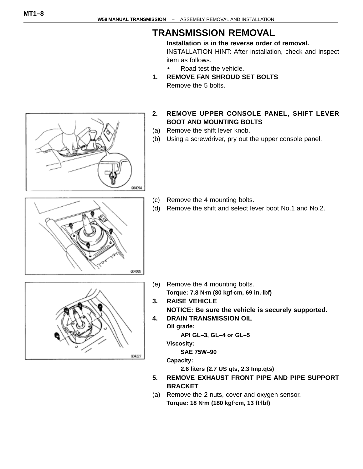### **TRANSMISSION REMOVAL**

**Installation is in the reverse order of removal.** INSTALLATION HINT: After installation, check and inspect item as follows.

- Road test the vehicle.
- **1. REMOVE FAN SHROUD SET BOLTS** Remove the 5 bolts.
- **2. REMOVE UPPER CONSOLE PANEL, SHIFT LEVER BOOT AND MOUNTING BOLTS**
- (a) Remove the shift lever knob.
- (b) Using a screwdriver, pry out the upper console panel.

- (c) Remove the 4 mounting bolts.
- (d) Remove the shift and select lever boot No.1 and No.2.



004094

- 004227
- (e) Remove the 4 mounting bolts. **Torque: 7.8 N**⋅**m (80 kgf**⋅**cm, 69 in.**⋅**lbf)**
- **3. RAISE VEHICLE NOTICE: Be sure the vehicle is securely supported.**
- **4. DRAIN TRANSMISSION OIL**

**Oil grade:**

**API GL–3, GL–4 or GL–5**

**Viscosity:**

**SAE 75W–90**

**Capacity:**

**2.6 liters (2.7 US qts, 2.3 Imp.qts)**

- **5. REMOVE EXHAUST FRONT PIPE AND PIPE SUPPORT BRACKET**
- (a) Remove the 2 nuts, cover and oxygen sensor. **Torque: 18 N**⋅**m (180 kgf**⋅**cm, 13 ft**⋅**lbf)**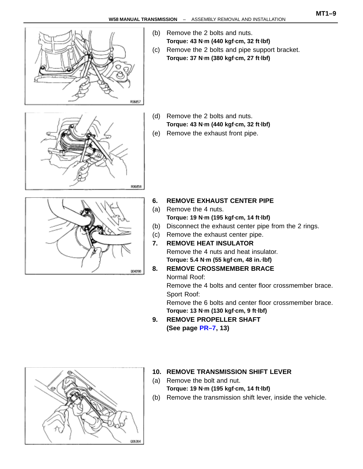

- (b) Remove the 2 bolts and nuts. **Torque: 43 N**⋅**m (440 kgf**⋅**cm, 32 ft**⋅**lbf)**
- (c) Remove the 2 bolts and pipe support bracket. **Torque: 37 N**⋅**m (380 kgf**⋅**cm, 27 ft**⋅**lbf)**



- (d) Remove the 2 bolts and nuts. **Torque: 43 N**⋅**m (440 kgf**⋅**cm, 32 ft**⋅**lbf)**
- (e) Remove the exhaust front pipe.



- **6. REMOVE EXHAUST CENTER PIPE**
- (a) Remove the 4 nuts. **Torque: 19 N**⋅**m (195 kgf**⋅**cm, 14 ft**⋅**lbf)**
- (b) Disconnect the exhaust center pipe from the 2 rings.
- (c) Remove the exhaust center pipe.
- **7. REMOVE HEAT INSULATOR** Remove the 4 nuts and heat insulator. **Torque: 5.4 N**⋅**m (55 kgf**⋅**cm, 48 in.**⋅**lbf)**

#### **8. REMOVE CROSSMEMBER BRACE** Normal Roof:

Remove the 4 bolts and center floor crossmember brace. Sport Roof:

Remove the 6 bolts and center floor crossmember brace. **Torque: 13 N**⋅**m (130 kgf**⋅**cm, 9 ft**⋅**lbf)**

**9. REMOVE PROPELLER SHAFT (See page [PR–7,](#page-2-0) 13)**



#### **10. REMOVE TRANSMISSION SHIFT LEVER**

- (a) Remove the bolt and nut. **Torque: 19 N**⋅**m (195 kgf**⋅**cm, 14 ft**⋅**lbf)**
- (b) Remove the transmission shift lever, inside the vehicle.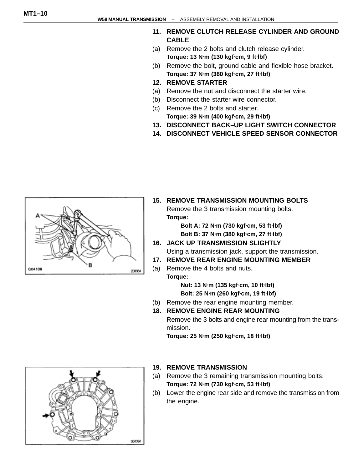- **11. REMOVE CLUTCH RELEASE CYLINDER AND GROUND CABLE**
- (a) Remove the 2 bolts and clutch release cylinder. **Torque: 13 N**⋅**m (130 kgf**⋅**cm, 9 ft**⋅**lbf)**
- (b) Remove the bolt, ground cable and flexible hose bracket. **Torque: 37 N**⋅**m (380 kgf**⋅**cm, 27 ft**⋅**lbf)**
- **12. REMOVE STARTER**
- (a) Remove the nut and disconnect the starter wire.
- (b) Disconnect the starter wire connector.
- (c) Remove the 2 bolts and starter. **Torque: 39 N**⋅**m (400 kgf**⋅**cm, 29 ft**⋅**lbf)**
- **13. DISCONNECT BACK–UP LIGHT SWITCH CONNECTOR**
- **14. DISCONNECT VEHICLE SPEED SENSOR CONNECTOR**



**15. REMOVE TRANSMISSION MOUNTING BOLTS** Remove the 3 transmission mounting bolts. **Torque:**

> **Bolt A: 72 N**⋅**m (730 kgf**⋅**cm, 53 ft**⋅**lbf) Bolt B: 37 N**⋅**m (380 kgf**⋅**cm, 27 ft**⋅**lbf)**

- **16. JACK UP TRANSMISSION SLIGHTLY** Using a transmission jack, support the transmission.
- **17. REMOVE REAR ENGINE MOUNTING MEMBER**
- (a) Remove the 4 bolts and nuts. **Torque:**

**Nut: 13 N**⋅**m (135 kgf**⋅**cm, 10 ft**⋅**lbf) Bolt: 25 N**⋅**m (260 kgf**⋅**cm, 19 ft**⋅**lbf)**

- (b) Remove the rear engine mounting member.
- **18. REMOVE ENGINE REAR MOUNTING** Remove the 3 bolts and engine rear mounting from the transmission.

**Torque: 25 N**⋅**m (250 kgf**⋅**cm, 18 ft**⋅**lbf)**



#### **19. REMOVE TRANSMISSION**

- (a) Remove the 3 remaining transmission mounting bolts. **Torque: 72 N**⋅**m (730 kgf**⋅**cm, 53 ft**⋅**lbf)**
- (b) Lower the engine rear side and remove the transmission from the engine.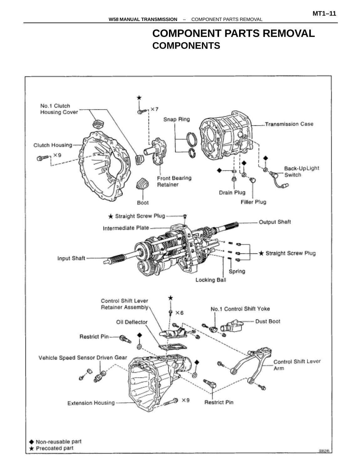### **COMPONENT PARTS REMOVAL COMPONENTS**

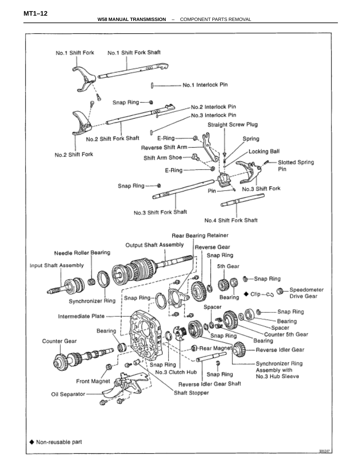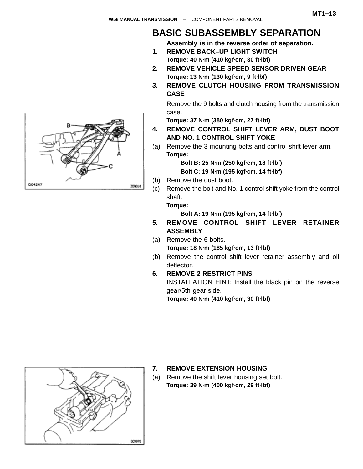### **BASIC SUBASSEMBLY SEPARATION**

**Assembly is in the reverse order of separation.**

- **1. REMOVE BACK–UP LIGHT SWITCH Torque: 40 N**⋅**m (410 kgf**⋅**cm, 30 ft**⋅**lbf)**
- **2. REMOVE VEHICLE SPEED SENSOR DRIVEN GEAR Torque: 13 N**⋅**m (130 kgf**⋅**cm, 9 ft**⋅**lbf)**
- **3. REMOVE CLUTCH HOUSING FROM TRANSMISSION CASE**

Remove the 9 bolts and clutch housing from the transmission case.

**Torque: 37 N**⋅**m (380 kgf**⋅**cm, 27 ft**⋅**lbf)**

- **4. REMOVE CONTROL SHIFT LEVER ARM, DUST BOOT AND NO. 1 CONTROL SHIFT YOKE**
- (a) Remove the 3 mounting bolts and control shift lever arm. **Torque:**

**Bolt B: 25 N**⋅**m (250 kgf**⋅**cm, 18 ft**⋅**lbf) Bolt C: 19 N**⋅**m (195 kgf**⋅**cm, 14 ft**⋅**lbf)**

- (b) Remove the dust boot.
- (c) Remove the bolt and No. 1 control shift yoke from the control shaft.

**Torque:**

**Bolt A: 19 N**⋅**m (195 kgf**⋅**cm, 14 ft**⋅**lbf)**

- **5. REMOVE CONTROL SHIFT LEVER RETAINER ASSEMBLY**
- (a) Remove the 6 bolts. **Torque: 18 N**⋅**m (185 kgf**⋅**cm, 13 ft**⋅**lbf)**
- (b) Remove the control shift lever retainer assembly and oil deflector.
- **6. REMOVE 2 RESTRICT PINS**

INSTALLATION HINT: Install the black pin on the reverse gear/5th gear side.

**Torque: 40 N**⋅**m (410 kgf**⋅**cm, 30 ft**⋅**lbf)**



#### **7. REMOVE EXTENSION HOUSING**

(a) Remove the shift lever housing set bolt. **Torque: 39 N**⋅**m (400 kgf**⋅**cm, 29 ft**⋅**lbf)**

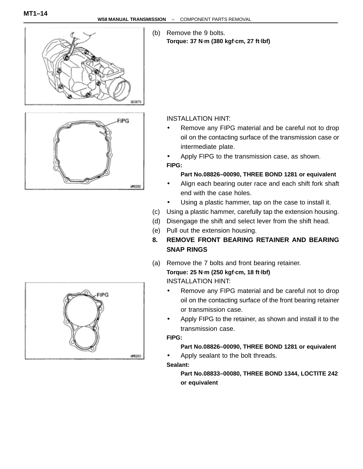

(b) Remove the 9 bolts. **Torque: 37 N**⋅**m (380 kgf**⋅**cm, 27 ft**⋅**lbf)**



### INSTALLATION HINT:

- Remove any FIPG material and be careful not to drop oil on the contacting surface of the transmission case or intermediate plate.
- Apply FIPG to the transmission case, as shown.

#### **FIPG:**

#### **Part No.08826–00090, THREE BOND 1281 or equivalent**

- Align each bearing outer race and each shift fork shaft end with the case holes.
- Using a plastic hammer, tap on the case to install it.
- (c) Using a plastic hammer, carefully tap the extension housing.
- (d) Disengage the shift and select lever from the shift head.
- (e) Pull out the extension housing.
- **8. REMOVE FRONT BEARING RETAINER AND BEARING SNAP RINGS**
- (a) Remove the 7 bolts and front bearing retainer. **Torque: 25 N**⋅**m (250 kgf**⋅**cm, 18 ft**⋅**lbf)** INSTALLATION HINT:
	- Remove any FIPG material and be careful not to drop oil on the contacting surface of the front bearing retainer or transmission case.
	- Apply FIPG to the retainer, as shown and install it to the transmission case.

#### **FIPG:**

#### **Part No.08826–00090, THREE BOND 1281 or equivalent**

• Apply sealant to the bolt threads. **Sealant:**

> **Part No.08833–00080, THREE BOND 1344, LOCTITE 242 or equivalent**

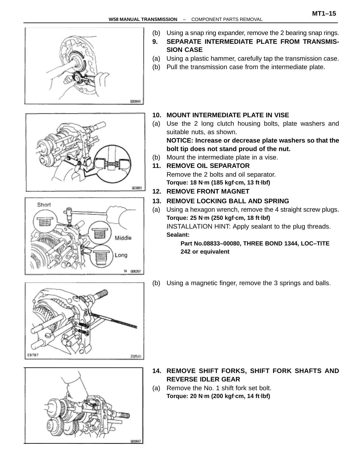

- (b) Using a snap ring expander, remove the 2 bearing snap rings.
- **9. SEPARATE INTERMEDIATE PLATE FROM TRANSMIS-SION CASE**
- (a) Using a plastic hammer, carefully tap the transmission case.
- (b) Pull the transmission case from the intermediate plate.





- **10. MOUNT INTERMEDIATE PLATE IN VISE**
- (a) Use the 2 long clutch housing bolts, plate washers and suitable nuts, as shown.

**NOTICE: Increase or decrease plate washers so that the bolt tip does not stand proud of the nut.**

- (b) Mount the intermediate plate in a vise.
- **11. REMOVE OIL SEPARATOR** Remove the 2 bolts and oil separator. **Torque: 18 N**⋅**m (185 kgf**⋅**cm, 13 ft**⋅**lbf)**
- **12. REMOVE FRONT MAGNET**
- **13. REMOVE LOCKING BALL AND SPRING**
- (a) Using a hexagon wrench, remove the 4 straight screw plugs. **Torque: 25 N**⋅**m (250 kgf**⋅**cm, 18 ft**⋅**lbf)** INSTALLATION HINT: Apply sealant to the plug threads. **Sealant:**

**Part No.08833–00080, THREE BOND 1344, LOC–TITE 242 or equivalent**

(b) Using a magnetic finger, remove the 3 springs and balls.





- **14. REMOVE SHIFT FORKS, SHIFT FORK SHAFTS AND REVERSE IDLER GEAR**
- (a) Remove the No. 1 shift fork set bolt. **Torque: 20 N**⋅**m (200 kgf**⋅**cm, 14 ft**⋅**lbf)**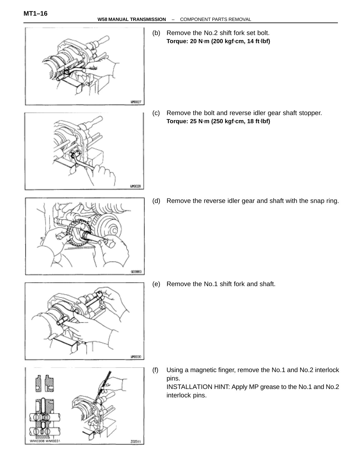

(b) Remove the No.2 shift fork set bolt. **Torque: 20 N**⋅**m (200 kgf**⋅**cm, 14 ft**⋅**lbf)**

(c) Remove the bolt and reverse idler gear shaft stopper. **Torque: 25 N**⋅**m (250 kgf**⋅**cm, 18 ft**⋅**lbf)**

003883

urocas

(d) Remove the reverse idler gear and shaft with the snap ring.

(e) Remove the No.1 shift fork and shaft.



- W0308 WM0031 202541
- (f) Using a magnetic finger, remove the No.1 and No.2 interlock pins. INSTALLATION HINT: Apply MP grease to the No.1 and No.2 interlock pins.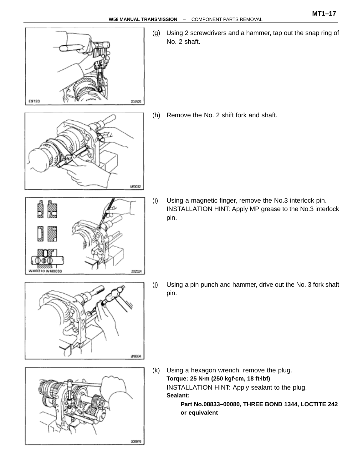



202524

E9793

WM0310 WM0033

(j) Using a pin punch and hammer, drive out the No. 3 fork shaft pin.



(k) Using a hexagon wrench, remove the plug. **Torque: 25 N**⋅**m (250 kgf**⋅**cm, 18 ft**⋅**lbf)** INSTALLATION HINT: Apply sealant to the plug. **Sealant:**

**Part No.08833–00080, THREE BOND 1344, LOCTITE 242 or equivalent**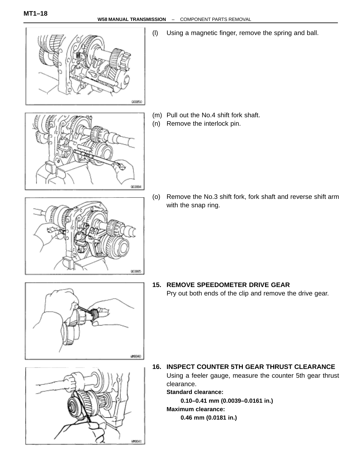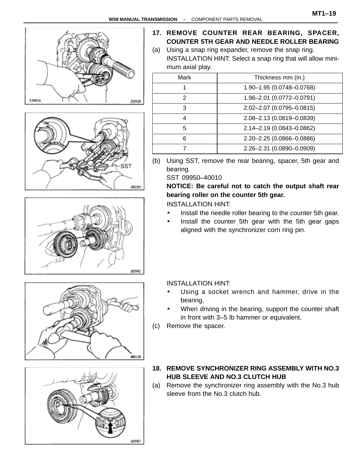









### **17. REMOVE COUNTER REAR BEARING, SPACER, COUNTER 5TH GEAR AND NEEDLE ROLLER BEARING**

(a) Using a snap ring expander, remove the snap ring. INSTALLATION HINT: Select a snap ring that will allow mini mum axial play.

| Mark | Thickness mm (in.)        |
|------|---------------------------|
|      | 1.90-1.95 (0.0748-0.0768) |
| 2    | 1.96-2.01 (0.0772-0.0791) |
| 3    | 2.02-2.07 (0.0795-0.0815) |
| 4    | 2.08-2.13 (0.0819-0.0839) |
| 5    | 2.14-2.19 (0.0843-0.0862) |
| 6    | 2.20-2.25 (0.0866-0.0886) |
|      | 2.26-2.31 (0.0890-0.0909) |
|      |                           |

(b) Using SST, remove the rear bearing, spacer, 5th gear and bearing.

SST 09950–40010

#### **NOTICE: Be careful not to catch the output shaft rear bearing roller on the counter 5th gear.**

INSTALLATION HINT:

- Install the needle roller bearing to the counter 5th gear.
- Install the counter 5th gear with the 5th gear gaps aligned with the synchronizer corn ring pin.

INSTALLATION HINT:

- Using a socket wrench and hammer, drive in the bearing.
- When driving in the bearing, support the counter shaft in front with 3–5 lb hammer or equivalent.
- (c) Remove the spacer.
- **18. REMOVE SYNCHRONIZER RING ASSEMBLY WITH NO.3 HUB SLEEVE AND NO.3 CLUTCH HUB**
- (a) Remove the synchronizer ring assembly with the No.3 hub sleeve from the No.3 clutch hub.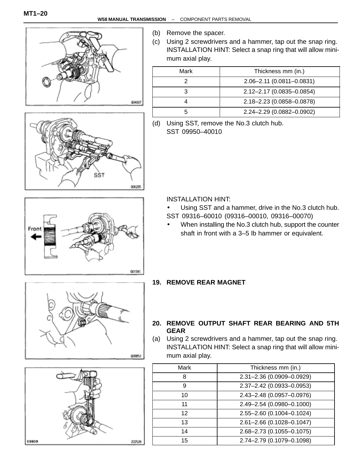Front





- (b) Remove the spacer.
- (c) Using 2 screwdrivers and a hammer, tap out the snap ring. INSTALLATION HINT: Select a snap ring that will allow minimum axial play.

| Mark | Thickness mm (in.)        |
|------|---------------------------|
|      | 2.06-2.11 (0.0811-0.0831) |
|      | 2.12-2.17 (0.0835-0.0854) |
|      | 2.18-2.23 (0.0858-0.0878) |
|      | 2.24-2.29 (0.0882-0.0902) |

(d) Using SST, remove the No.3 clutch hub. SST 09950–40010

INSTALLATION HINT:

- Using SST and a hammer, drive in the No.3 clutch hub. SST 09316–60010 (09316–00010, 09316–00070)
- When installing the No.3 clutch hub, support the counter shaft in front with a 3–5 lb hammer or equivalent.



001581



#### **19. REMOVE REAR MAGNET**

- **20. REMOVE OUTPUT SHAFT REAR BEARING AND 5TH GEAR**
- (a) Using 2 screwdrivers and a hammer, tap out the snap ring. INSTALLATION HINT: Select a snap ring that will allow minimum axial play.

| Mark            | Thickness mm (in.)        |
|-----------------|---------------------------|
| 8               | 2.31-2.36 (0.0909-0.0929) |
| 9               | 2.37-2.42 (0.0933-0.0953) |
| 10              | 2.43-2.48 (0.0957-0.0976) |
| 11              | 2.49-2.54 (0.0980-0.1000) |
| 12 <sup>2</sup> | 2.55-2.60 (0.1004-0.1024) |
| 13              | 2.61-2.66 (0.1028-0.1047) |
| 14              | 2.68-2.73 (0.1055-0.1075) |
| 15              | 2.74-2.79 (0.1079-0.1098) |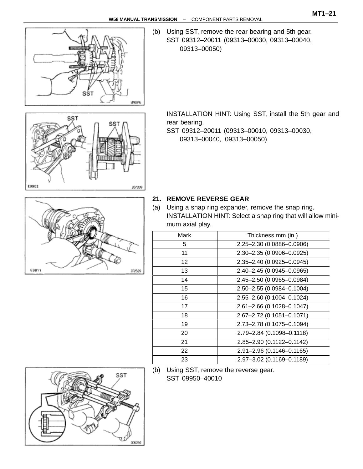

SST

**£9902** 

(b) Using SST, remove the rear bearing and 5th gear. SST 09312–20011 (09313–00030, 09313–00040, 09313–00050)

INSTALLATION HINT: Using SST, install the 5th gear and rear bearing.

SST 09312–20011 (09313–00010, 09313–00030, 09313–00040, 09313–00050)



207209

#### **21. REMOVE REVERSE GEAR**

(a) Using a snap ring expander, remove the snap ring. INSTALLATION HINT: Select a snap ring that will allow minimum axial play.

| Mark            | Thickness mm (in.)        |
|-----------------|---------------------------|
| 5               | 2.25-2.30 (0.0886-0.0906) |
| 11              | 2.30-2.35 (0.0906-0.0925) |
| 12 <sup>2</sup> | 2.35-2.40 (0.0925-0.0945) |
| 13              | 2.40-2.45 (0.0945-0.0965) |
| 14              | 2.45-2.50 (0.0965-0.0984) |
| 15              | 2.50-2.55 (0.0984-0.1004) |
| 16              | 2.55-2.60 (0.1004-0.1024) |
| 17              | 2.61-2.66 (0.1028-0.1047) |
| 18              | 2.67-2.72 (0.1051-0.1071) |
| 19              | 2.73-2.78 (0.1075-0.1094) |
| 20              | 2.79-2.84 (0.1098-0.1118) |
| 21              | 2.85-2.90 (0.1122-0.1142) |
| 22              | 2.91-2.96 (0.1146-0.1165) |
| 23              | 2.97-3.02 (0.1169-0.1189) |
|                 |                           |

 (b) Using SST, remove the reverse gear. SST 09950–40010

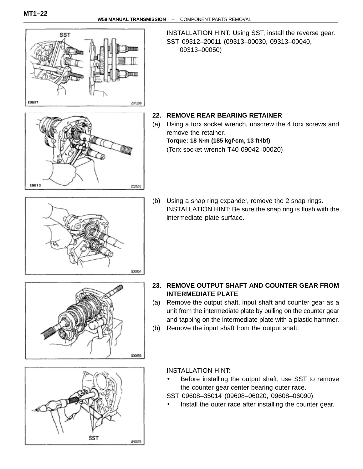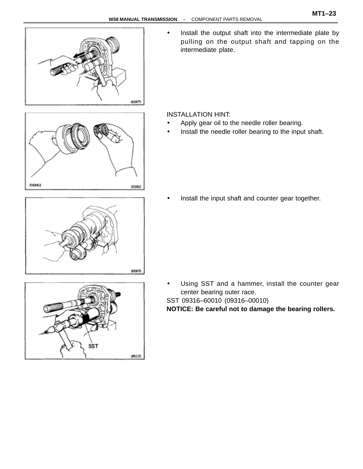

Install the output shaft into the intermediate plate by pulling on the output shaft and tapping on the intermediate plate.

INSTALLATION HINT:

- Apply gear oil to the needle roller bearing.
- Install the needle roller bearing to the input shaft.

000876

202662

06662



Install the input shaft and counter gear together.

• Using SST and a hammer, install the counter gear center bearing outer race.

SST 09316–60010 (09316–00010)

**NOTICE: Be careful not to damage the bearing rollers.**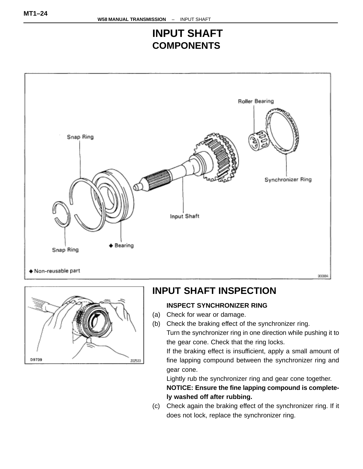### **INPUT SHAFT COMPONENTS**





### **INPUT SHAFT INSPECTION**

### **INSPECT SYNCHRONIZER RING**

- (a) Check for wear or damage.
- (b) Check the braking effect of the synchronizer ring. Turn the synchronizer ring in one direction while pushing it to the gear cone. Check that the ring locks.

If the braking effect is insufficient, apply a small amount of fine lapping compound between the synchronizer ring and gear cone.

Lightly rub the synchronizer ring and gear cone together. **NOTICE: Ensure the fine lapping compound is completely washed off after rubbing.**

(c) Check again the braking effect of the synchronizer ring. If it does not lock, replace the synchronizer ring.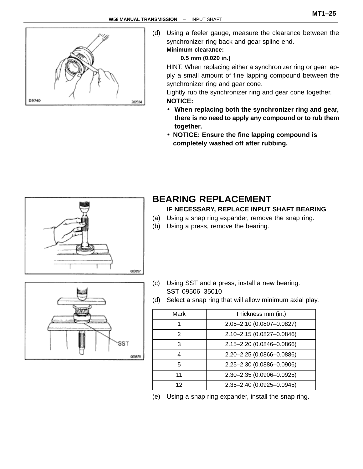

(d) Using a feeler gauge, measure the clearance between the synchronizer ring back and gear spline end. **Minimum clearance:**

#### **0.5 mm (0.020 in.)**

HINT: When replacing either a synchronizer ring or gear, apply a small amount of fine lapping compound between the synchronizer ring and gear cone.

Lightly rub the synchronizer ring and gear cone together. **NOTICE:**

- **When replacing both the synchronizer ring and gear, there is no need to apply any compound or to rub them together.**
- **NOTICE: Ensure the fine lapping compound is completely washed off after rubbing.**



### **BEARING REPLACEMENT**

#### **IF NECESSARY, REPLACE INPUT SHAFT BEARING**

- (a) Using a snap ring expander, remove the snap ring.
- (b) Using a press, remove the bearing.



(d) Select a snap ring that will allow minimum axial play.

| Mark | Thickness mm (in.)        |
|------|---------------------------|
|      | 2.05-2.10 (0.0807-0.0827) |
| 2    | 2.10-2.15 (0.0827-0.0846) |
| 3    | 2.15-2.20 (0.0846-0.0866) |
| 4    | 2.20-2.25 (0.0866-0.0886) |
| 5    | 2.25-2.30 (0.0886-0.0906) |
| 11   | 2.30-2.35 (0.0906-0.0925) |
| 12   | 2.35-2.40 (0.0925-0.0945) |

(e) Using a snap ring expander, install the snap ring.

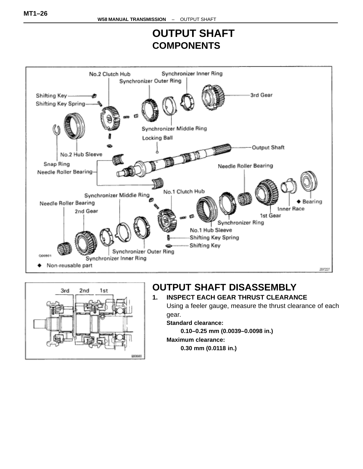### **OUTPUT SHAFT COMPONENTS**





### **OUTPUT SHAFT DISASSEMBLY**

#### **1. INSPECT EACH GEAR THRUST CLEARANCE** Using a feeler gauge, measure the thrust clearance of each

gear.

#### **Standard clearance:**

**0.10–0.25 mm (0.0039–0.0098 in.)**

#### **Maximum clearance:**

**0.30 mm (0.0118 in.)**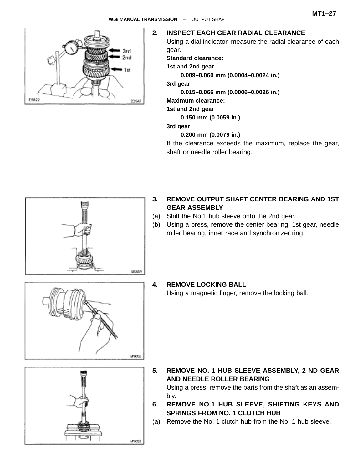

#### **2. INSPECT EACH GEAR RADIAL CLEARANCE**

Using a dial indicator, measure the radial clearance of each gear.

**Standard clearance:**

**1st and 2nd gear**

**0.009–0.060 mm (0.0004–0.0024 in.)**

**3rd gear**

**0.015–0.066 mm (0.0006–0.0026 in.)**

**Maximum clearance:**

**1st and 2nd gear**

**0.150 mm (0.0059 in.)**

#### **3rd gear**

**0.200 mm (0.0079 in.)**

If the clearance exceeds the maximum, replace the gear, shaft or needle roller bearing.



- **3. REMOVE OUTPUT SHAFT CENTER BEARING AND 1ST GEAR ASSEMBLY**
- (a) Shift the No.1 hub sleeve onto the 2nd gear.
- (b) Using a press, remove the center bearing, 1st gear, needle roller bearing, inner race and synchronizer ring.



#### **4. REMOVE LOCKING BALL**

Using a magnetic finger, remove the locking ball.



- **5. REMOVE NO. 1 HUB SLEEVE ASSEMBLY, 2 ND GEAR AND NEEDLE ROLLER BEARING** Using a press, remove the parts from the shaft as an assembly.
- **6. REMOVE NO.1 HUB SLEEVE, SHIFTING KEYS AND SPRINGS FROM NO. 1 CLUTCH HUB**
- (a) Remove the No. 1 clutch hub from the No. 1 hub sleeve.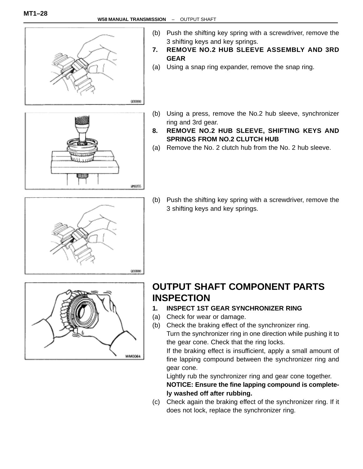IM0055



- (b) Push the shifting key spring with a screwdriver, remove the 3 shifting keys and key springs.
- **7. REMOVE NO.2 HUB SLEEVE ASSEMBLY AND 3RD GEAR**
- (a) Using a snap ring expander, remove the snap ring.
- (b) Using a press, remove the No.2 hub sleeve, synchronizer ring and 3rd gear.
- **8. REMOVE NO.2 HUB SLEEVE, SHIFTING KEYS AND SPRINGS FROM NO.2 CLUTCH HUB**
- (a) Remove the No. 2 clutch hub from the No. 2 hub sleeve.



ШШ

(b) Push the shifting key spring with a screwdriver, remove the 3 shifting keys and key springs.



### **OUTPUT SHAFT COMPONENT PARTS INSPECTION**

- **1. INSPECT 1ST GEAR SYNCHRONIZER RING**
- (a) Check for wear or damage.
- (b) Check the braking effect of the synchronizer ring. Turn the synchronizer ring in one direction while pushing it to the gear cone. Check that the ring locks.

If the braking effect is insufficient, apply a small amount of fine lapping compound between the synchronizer ring and gear cone.

Lightly rub the synchronizer ring and gear cone together. **NOTICE: Ensure the fine lapping compound is completely washed off after rubbing.**

(c) Check again the braking effect of the synchronizer ring. If it does not lock, replace the synchronizer ring.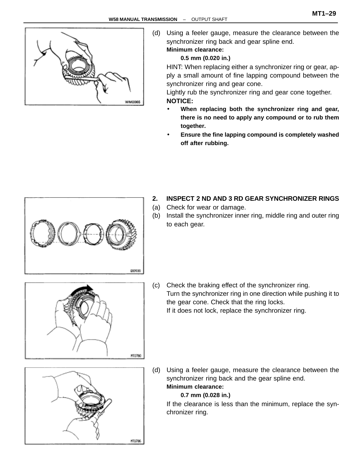



(d) Using a feeler gauge, measure the clearance between the synchronizer ring back and gear spline end. **Minimum clearance:**

#### **0.5 mm (0.020 in.)**

HINT: When replacing either a synchronizer ring or gear, apply a small amount of fine lapping compound between the synchronizer ring and gear cone.

Lightly rub the synchronizer ring and gear cone together. **NOTICE:**

- **When replacing both the synchronizer ring and gear, there is no need to apply any compound or to rub them together.**
- **Ensure the fine lapping compound is completely washed off after rubbing.**



- **2. INSPECT 2 ND AND 3 RD GEAR SYNCHRONIZER RINGS**
- (a) Check for wear or damage.
- (b) Install the synchronizer inner ring, middle ring and outer ring to each gear.



(c) Check the braking effect of the synchronizer ring. Turn the synchronizer ring in one direction while pushing it to the gear cone. Check that the ring locks. If it does not lock, replace the synchronizer ring.



(d) Using a feeler gauge, measure the clearance between the synchronizer ring back and the gear spline end. **Minimum clearance:**

#### **0.7 mm (0.028 in.)**

If the clearance is less than the minimum, replace the synchronizer ring.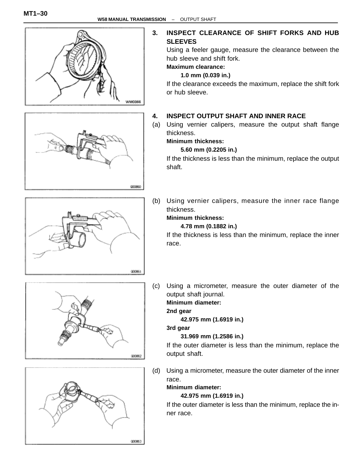

000860

000861





# **3. INSPECT CLEARANCE OF SHIFT FORKS AND HUB**

Using a feeler gauge, measure the clearance between the hub sleeve and shift fork.

If the clearance exceeds the maximum, replace the shift fork

#### **4. INSPECT OUTPUT SHAFT AND INNER RACE**

(a) Using vernier calipers, measure the output shaft flange

#### **5.60 mm (0.2205 in.)**

If the thickness is less than the minimum, replace the output

(b) Using vernier calipers, measure the inner race flange thickness.

### **Minimum thickness:**

#### **4.78 mm (0.1882 in.)**

If the thickness is less than the minimum, replace the inner race.

(c) Using a micrometer, measure the outer diameter of the output shaft journal.

#### **Minimum diameter:**

#### **2nd gear**

**42.975 mm (1.6919 in.)**

**3rd gear**

#### **31.969 mm (1.2586 in.)**

If the outer diameter is less than the minimum, replace the output shaft.

(d) Using a micrometer, measure the outer diameter of the inner race. **Minimum diameter:**

### **42.975 mm (1.6919 in.)**

If the outer diameter is less than the minimum, replace the inner race.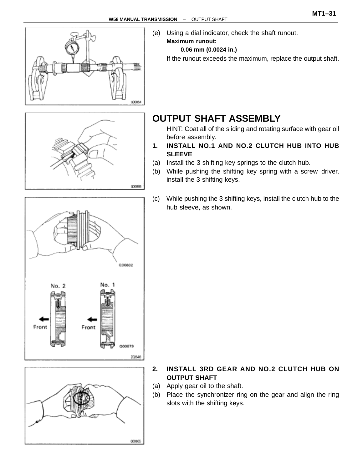



(e) Using a dial indicator, check the shaft runout. **Maximum runout:**

#### **0.06 mm (0.0024 in.)**

If the runout exceeds the maximum, replace the output shaft.



### **OUTPUT SHAFT ASSEMBLY**

HINT: Coat all of the sliding and rotating surface with gear oil before assembly.

- **1. INSTALL NO.1 AND NO.2 CLUTCH HUB INTO HUB SLEEVE**
- (a) Install the 3 shifting key springs to the clutch hub.
- (b) While pushing the shifting key spring with a screw–driver, install the 3 shifting keys.
- (c) While pushing the 3 shifting keys, install the clutch hub to the hub sleeve, as shown.



### **2. INSTALL 3RD GEAR AND NO.2 CLUTCH HUB ON OUTPUT SHAFT**

- (a) Apply gear oil to the shaft.
- (b) Place the synchronizer ring on the gear and align the ring slots with the shifting keys.

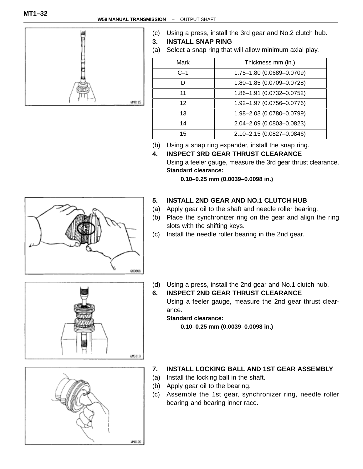

- (c) Using a press, install the 3rd gear and No.2 clutch hub.
- **3. INSTALL SNAP RING**
- (a) Select a snap ring that will allow minimum axial play.

| Mark  | Thickness mm (in.)        |
|-------|---------------------------|
| $C-1$ | 1.75-1.80 (0.0689-0.0709) |
|       | 1.80-1.85 (0.0709-0.0728) |
| 11    | 1.86-1.91 (0.0732-0.0752) |
| 12    | 1.92-1.97 (0.0756-0.0776) |
| 13    | 1.98-2.03 (0.0780-0.0799) |
| 14    | 2.04-2.09 (0.0803-0.0823) |
| 15    | 2.10-2.15 (0.0827-0.0846) |

(b) Using a snap ring expander, install the snap ring.

# **4. INSPECT 3RD GEAR THRUST CLEARANCE**

Using a feeler gauge, measure the 3rd gear thrust clearance. **Standard clearance:**

**0.10–0.25 mm (0.0039–0.0098 in.)**

#### **5. INSTALL 2ND GEAR AND NO.1 CLUTCH HUB**

- (a) Apply gear oil to the shaft and needle roller bearing.
- (b) Place the synchronizer ring on the gear and align the ring slots with the shifting keys.
- (c) Install the needle roller bearing in the 2nd gear.



000866

(d) Using a press, install the 2nd gear and No.1 clutch hub.

**6. INSPECT 2ND GEAR THRUST CLEARANCE** Using a feeler gauge, measure the 2nd gear thrust clearance.

**Standard clearance:**

**0.10–0.25 mm (0.0039–0.0098 in.)**

### **7. INSTALL LOCKING BALL AND 1ST GEAR ASSEMBLY**

- (a) Install the locking ball in the shaft.
- (b) Apply gear oil to the bearing.
- (c) Assemble the 1st gear, synchronizer ring, needle roller bearing and bearing inner race.

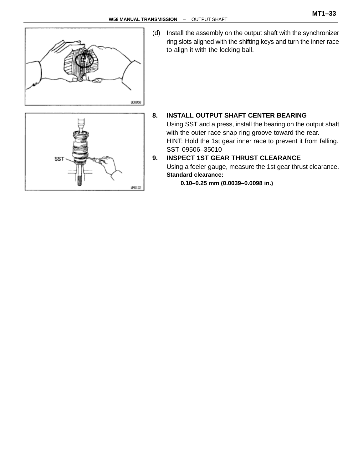

(d) Install the assembly on the output shaft with the synchronizer ring slots aligned with the shifting keys and turn the inner race to align it with the locking ball.



#### **8. INSTALL OUTPUT SHAFT CENTER BEARING**

Using SST and a press, install the bearing on the output shaft with the outer race snap ring groove toward the rear. HINT: Hold the 1st gear inner race to prevent it from falling. SST 09506–35010

#### **9. INSPECT 1ST GEAR THRUST CLEARANCE**

Using a feeler gauge, measure the 1st gear thrust clearance. **Standard clearance:**

**0.10–0.25 mm (0.0039–0.0098 in.)**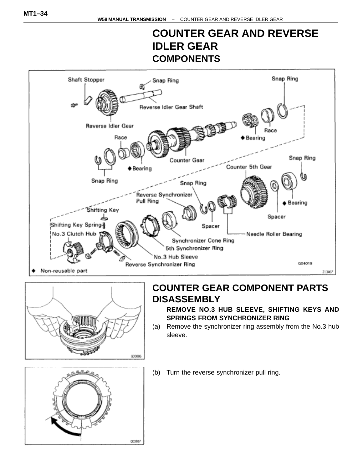# **COUNTER GEAR AND REVERSE IDLER GEAR COMPONENTS**





### **COUNTER GEAR COMPONENT PARTS DISASSEMBLY**

**REMOVE NO.3 HUB SLEEVE, SHIFTING KEYS AND SPRINGS FROM SYNCHRONIZER RING**

(a) Remove the synchronizer ring assembly from the No.3 hub sleeve.



(b) Turn the reverse synchronizer pull ring.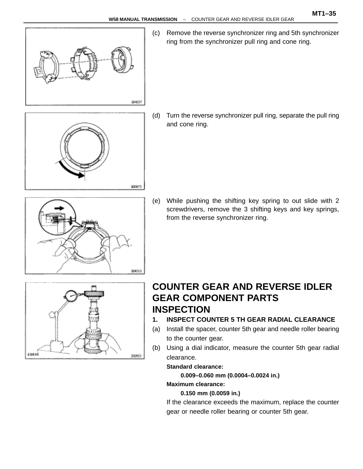

(c) Remove the reverse synchronizer ring and 5th synchronizer ring from the synchronizer pull ring and cone ring.

- 000873
- (d) Turn the reverse synchronizer pull ring, separate the pull ring and cone ring.

- 004010
- (e) While pushing the shifting key spring to out slide with 2 screwdrivers, remove the 3 shifting keys and key springs, from the reverse synchronizer ring.



### **COUNTER GEAR AND REVERSE IDLER GEAR COMPONENT PARTS INSPECTION**

- **1. INSPECT COUNTER 5 TH GEAR RADIAL CLEARANCE**
- (a) Install the spacer, counter 5th gear and needle roller bearing to the counter gear.
- (b) Using a dial indicator, measure the counter 5th gear radial clearance.

#### **Standard clearance:**

**0.009–0.060 mm (0.0004–0.0024 in.)**

#### **Maximum clearance:**

#### **0.150 mm (0.0059 in.)**

If the clearance exceeds the maximum, replace the counter gear or needle roller bearing or counter 5th gear.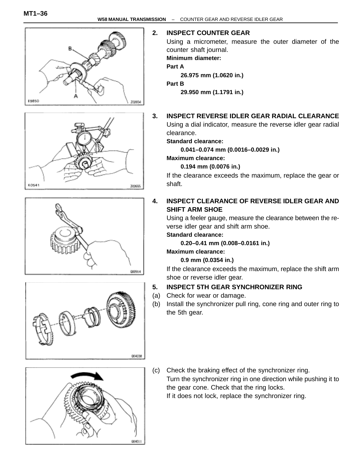









#### **2. INSPECT COUNTER GEAR**

Using a micrometer, measure the outer diameter of the counter shaft journal.

#### **Minimum diameter:**

#### **Part A**

**26.975 mm (1.0620 in.)**

#### **Part B**

**29.950 mm (1.1791 in.)**

#### **3. INSPECT REVERSE IDLER GEAR RADIAL CLEARANCE**

Using a dial indicator, measure the reverse idler gear radial clearance.

#### **Standard clearance:**

**0.041–0.074 mm (0.0016–0.0029 in.)**

#### **Maximum clearance:**

**0.194 mm (0.0076 in.)**

If the clearance exceeds the maximum, replace the gear or shaft.

#### **4. INSPECT CLEARANCE OF REVERSE IDLER GEAR AND SHIFT ARM SHOE**

Using a feeler gauge, measure the clearance between the reverse idler gear and shift arm shoe.

#### **Standard clearance:**

**0.20–0.41 mm (0.008–0.0161 in.)**

#### **Maximum clearance:**

#### **0.9 mm (0.0354 in.)**

If the clearance exceeds the maximum, replace the shift arm shoe or reverse idler gear.

#### **5. INSPECT 5TH GEAR SYNCHRONIZER RING**

- (a) Check for wear or damage.
- (b) Install the synchronizer pull ring, cone ring and outer ring to the 5th gear.

(c) Check the braking effect of the synchronizer ring. Turn the synchronizer ring in one direction while pushing it to the gear cone. Check that the ring locks.

If it does not lock, replace the synchronizer ring.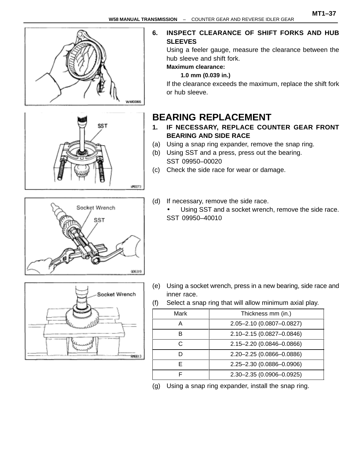



Socket Wrench

SST

1910013

#### **6. INSPECT CLEARANCE OF SHIFT FORKS AND HUB SLEEVES**

Using a feeler gauge, measure the clearance between the hub sleeve and shift fork.

### **Maximum clearance:**

**1.0 mm (0.039 in.)**

If the clearance exceeds the maximum, replace the shift fork or hub sleeve.

### **BEARING REPLACEMENT**

- **1. IF NECESSARY, REPLACE COUNTER GEAR FRONT BEARING AND SIDE RACE**
- (a) Using a snap ring expander, remove the snap ring.
- (b) Using SST and a press, press out the bearing. SST 09950–00020
- (c) Check the side race for wear or damage.
- (d) If necessary, remove the side race.
	- Using SST and a socket wrench, remove the side race. SST 09950–40010



- (e) Using a socket wrench, press in a new bearing, side race and inner race.
- (f) Select a snap ring that will allow minimum axial play.

| Mark | Thickness mm (in.)        |
|------|---------------------------|
| Α    | 2.05-2.10 (0.0807-0.0827) |
| в    | 2.10-2.15 (0.0827-0.0846) |
| C.   | 2.15-2.20 (0.0846-0.0866) |
|      | 2.20-2.25 (0.0866-0.0886) |
| F    | 2.25-2.30 (0.0886-0.0906) |
|      | 2.30-2.35 (0.0906-0.0925) |

(g) Using a snap ring expander, install the snap ring.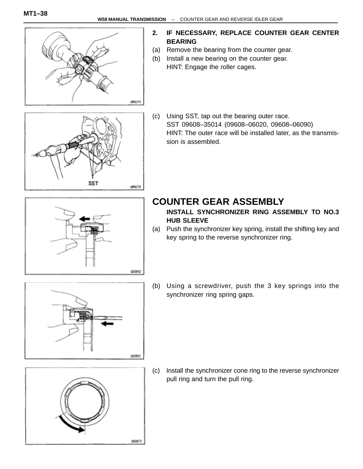

#### **2. IF NECESSARY, REPLACE COUNTER GEAR CENTER BEARING**

- (a) Remove the bearing from the counter gear.
- (b) Install a new bearing on the counter gear. HINT: Engage the roller cages.
- **SST** urgo78
	- (c) Using SST, tap out the bearing outer race. SST 09608–35014 (09608–06020, 09608–06090) HINT: The outer race will be installed later, as the transmission is assembled.



### **COUNTER GEAR ASSEMBLY**

- **INSTALL SYNCHRONIZER RING ASSEMBLY TO NO.3 HUB SLEEVE**
- (a) Push the synchronizer key spring, install the shifting key and key spring to the reverse synchronizer ring.
- (b) Using a screwdriver, push the 3 key springs into the synchronizer ring spring gaps.





000873

(c) Install the synchronizer cone ring to the reverse synchronizer pull ring and turn the pull ring.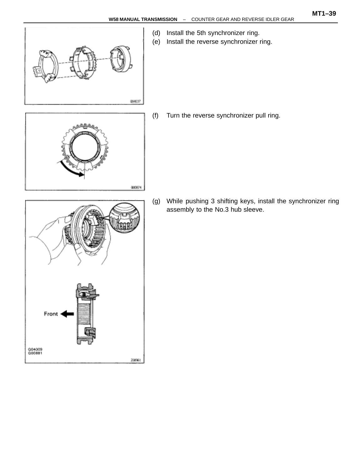

(d) Install the 5th synchronizer ring. (e) Install the reverse synchronizer ring.

(f) Turn the reverse synchronizer pull ring.

000874

Front Q04009<br>Q00881 208961

(g) While pushing 3 shifting keys, install the synchronizer ring assembly to the No.3 hub sleeve.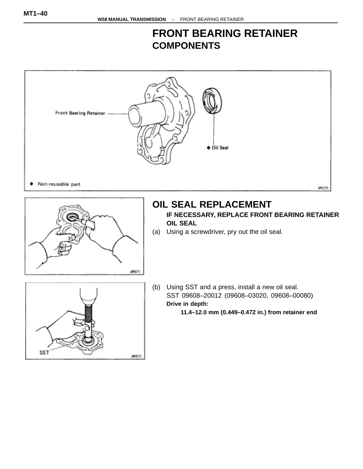### **FRONT BEARING RETAINER COMPONENTS**

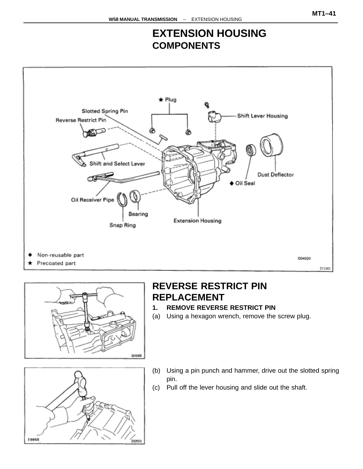### **EXTENSION HOUSING COMPONENTS**





### **REVERSE RESTRICT PIN REPLACEMENT**

- **1. REMOVE REVERSE RESTRICT PIN**
- (a) Using a hexagon wrench, remove the screw plug.



- (b) Using a pin punch and hammer, drive out the slotted spring pin.
- (c) Pull off the lever housing and slide out the shaft.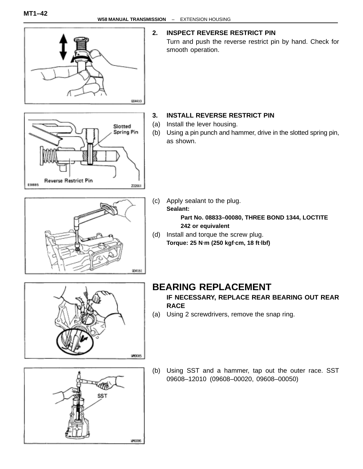

W10096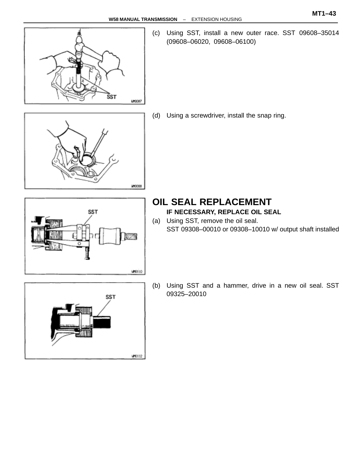

(c) Using SST, install a new outer race. SST 09608–35014 (09608–06020, 09608–06100)



(d) Using a screwdriver, install the snap ring.



SST

**INC112** 

### **OIL SEAL REPLACEMENT**

- **IF NECESSARY, REPLACE OIL SEAL**
- (a) Using SST, remove the oil seal. SST 09308–00010 or 09308–10010 w/ output shaft installed
- (b) Using SST and a hammer, drive in a new oil seal. SST 09325–20010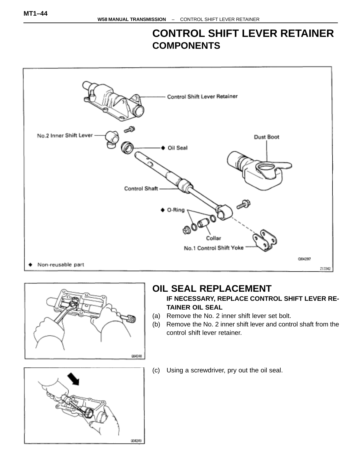### **CONTROL SHIFT LEVER RETAINER COMPONENTS**





### **OIL SEAL REPLACEMENT**

#### **IF NECESSARY, REPLACE CONTROL SHIFT LEVER RE-TAINER OIL SEAL**

- (a) Remove the No. 2 inner shift lever set bolt.
- (b) Remove the No. 2 inner shift lever and control shaft from the control shift lever retainer.



(c) Using a screwdriver, pry out the oil seal.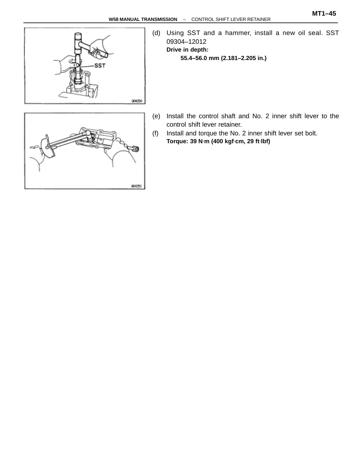

(d) Using SST and a hammer, install a new oil seal. SST 09304–12012 **Drive in depth: 55.4–56.0 mm (2.181–2.205 in.)**

- (e) Install the control shaft and No. 2 inner shift lever to the control shift lever retainer.
- (f) Install and torque the No. 2 inner shift lever set bolt. **Torque: 39 N**⋅**m (400 kgf**⋅**cm, 29 ft**⋅**lbf)**

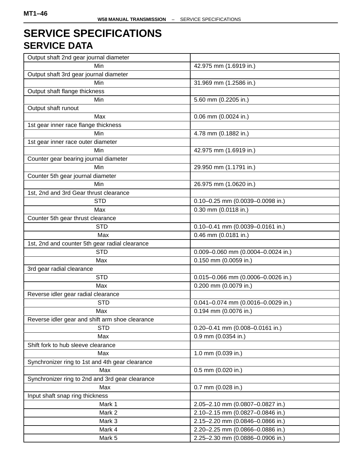### **SERVICE SPECIFICATIONS SERVICE DATA**

| Output shaft 2nd gear journal diameter          |                                      |  |
|-------------------------------------------------|--------------------------------------|--|
| Min                                             | 42.975 mm (1.6919 in.)               |  |
| Output shaft 3rd gear journal diameter          |                                      |  |
| Min                                             | 31.969 mm (1.2586 in.)               |  |
| Output shaft flange thickness                   |                                      |  |
| Min                                             | 5.60 mm (0.2205 in.)                 |  |
| Output shaft runout                             |                                      |  |
| Max                                             | 0.06 mm (0.0024 in.)                 |  |
| 1st gear inner race flange thickness            |                                      |  |
| Min                                             | 4.78 mm (0.1882 in.)                 |  |
| 1st gear inner race outer diameter              |                                      |  |
| Min                                             | 42.975 mm (1.6919 in.)               |  |
| Counter gear bearing journal diameter           |                                      |  |
| Min                                             | 29.950 mm (1.1791 in.)               |  |
| Counter 5th gear journal diameter               |                                      |  |
| Min                                             | 26.975 mm (1.0620 in.)               |  |
| 1st, 2nd and 3rd Gear thrust clearance          |                                      |  |
| <b>STD</b>                                      | 0.10-0.25 mm (0.0039-0.0098 in.)     |  |
| Max                                             | 0.30 mm (0.0118 in.)                 |  |
| Counter 5th gear thrust clearance               |                                      |  |
| <b>STD</b>                                      | $0.10 - 0.41$ mm (0.0039-0.0161 in.) |  |
| Max                                             | 0.46 mm (0.0181 in.)                 |  |
| 1st, 2nd and counter 5th gear radial clearance  |                                      |  |
| <b>STD</b>                                      | 0.009-0.060 mm (0.0004-0.0024 in.)   |  |
| Max                                             | 0.150 mm (0.0059 in.)                |  |
| 3rd gear radial clearance                       |                                      |  |
| <b>STD</b>                                      | 0.015-0.066 mm (0.0006-0.0026 in.)   |  |
| Max                                             | 0.200 mm (0.0079 in.)                |  |
| Reverse idler gear radial clearance             |                                      |  |
| <b>STD</b>                                      | 0.041-0.074 mm (0.0016-0.0029 in.)   |  |
| Max                                             | 0.194 mm (0.0076 in.)                |  |
| Reverse idler gear and shift arm shoe clearance |                                      |  |
| <b>STD</b>                                      | 0.20-0.41 mm (0.008-0.0161 in.)      |  |
| Max                                             | 0.9 mm (0.0354 in.)                  |  |
| Shift fork to hub sleeve clearance              |                                      |  |
| Max                                             | 1.0 mm (0.039 in.)                   |  |
| Synchronizer ring to 1st and 4th gear clearance |                                      |  |
| Max                                             | 0.5 mm (0.020 in.)                   |  |
| Synchronizer ring to 2nd and 3rd gear clearance |                                      |  |
| Max                                             | 0.7 mm (0.028 in.)                   |  |
| Input shaft snap ring thickness                 |                                      |  |
| Mark 1                                          | 2.05-2.10 mm (0.0807-0.0827 in.)     |  |
| Mark 2                                          | 2.10-2.15 mm (0.0827-0.0846 in.)     |  |
| Mark 3                                          | 2.15-2.20 mm (0.0846-0.0866 in.)     |  |
| Mark 4                                          | 2.20-2.25 mm (0.0866-0.0886 in.)     |  |
| Mark 5                                          | 2.25-2.30 mm (0.0886-0.0906 in.)     |  |
|                                                 |                                      |  |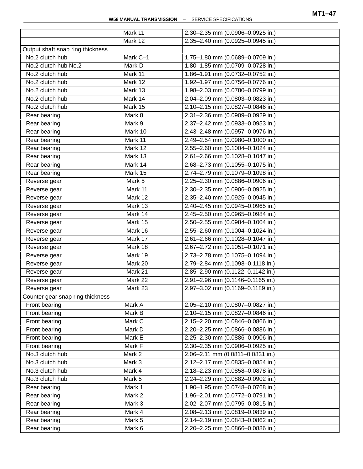|                                  | Mark 11          | 2.30-2.35 mm (0.0906-0.0925 in.)                                     |
|----------------------------------|------------------|----------------------------------------------------------------------|
|                                  | Mark 12          | 2.35-2.40 mm (0.0925-0.0945 in.)                                     |
| Output shaft snap ring thickness |                  |                                                                      |
| No.2 clutch hub                  | Mark C-1         | 1.75-1.80 mm (0.0689-0.0709 in.)                                     |
| No.2 clutch hub No.2             | Mark D           | 1.80-1.85 mm (0.0709-0.0728 in.)                                     |
| No.2 clutch hub                  | Mark 11          | 1.86-1.91 mm (0.0732-0.0752 in.)                                     |
| No.2 clutch hub                  | Mark 12          | 1.92-1.97 mm (0.0756-0.0776 in.)                                     |
| No.2 clutch hub                  | Mark 13          | 1.98-2.03 mm (0.0780-0.0799 in.)                                     |
| No.2 clutch hub                  | Mark 14          | 2.04-2.09 mm (0.0803-0.0823 in.)                                     |
| No.2 clutch hub                  | Mark 15          | 2.10-2.15 mm (0.0827-0.0846 in.)                                     |
| Rear bearing                     | Mark 8           | 2.31-2.36 mm (0.0909-0.0929 in.)                                     |
| Rear bearing                     | Mark 9           | 2.37-2.42 mm (0.0933-0.0953 in.)                                     |
| Rear bearing                     | Mark 10          | 2.43-2.48 mm (0.0957-0.0976 in.)                                     |
| Rear bearing                     | Mark 11          | 2.49-2.54 mm (0.0980-0.1000 in.)                                     |
| Rear bearing                     | Mark 12          | 2.55-2.60 mm (0.1004-0.1024 in.)                                     |
|                                  | Mark 13          | 2.61-2.66 mm (0.1028-0.1047 in.)                                     |
| Rear bearing                     | Mark 14          |                                                                      |
| Rear bearing                     | Mark 15          | 2.68-2.73 mm (0.1055-0.1075 in.)<br>2.74-2.79 mm (0.1079-0.1098 in.) |
| Rear bearing                     |                  |                                                                      |
| Reverse gear                     | Mark 5           | 2.25-2.30 mm (0.0886-0.0906 in.)                                     |
| Reverse gear                     | Mark 11          | 2.30-2.35 mm (0.0906-0.0925 in.)                                     |
| Reverse gear                     | Mark 12          | 2.35-2.40 mm (0.0925-0.0945 in.)                                     |
| Reverse gear                     | Mark 13          | 2.40-2.45 mm (0.0945-0.0965 in.)                                     |
| Reverse gear                     | Mark 14          | 2.45-2.50 mm (0.0965-0.0984 in.)                                     |
| Reverse gear                     | Mark 15          | 2.50-2.55 mm (0.0984-0.1004 in.)                                     |
| Reverse gear                     | Mark 16          | 2.55-2.60 mm (0.1004-0.1024 in.)                                     |
| Reverse gear                     | Mark 17          | 2.61-2.66 mm (0.1028-0.1047 in.)                                     |
| Reverse gear                     | Mark 18          | 2.67-2.72 mm (0.1051-0.1071 in.)                                     |
| Reverse gear                     | Mark 19          | 2.73-2.78 mm (0.1075-0.1094 in.)                                     |
| Reverse gear                     | Mark 20          | 2.79-2.84 mm (0.1098-0.1118 in.)                                     |
| Reverse gear                     | Mark 21          | 2.85-2.90 mm (0.1122-0.1142 in.)                                     |
| Reverse gear                     | Mark 22          | 2.91-2.96 mm (0.1146-0.1165 in.)                                     |
| Reverse gear                     | Mark 23          | 2.97-3.02 mm (0.1169-0.1189 in.)                                     |
| Counter gear snap ring thickness |                  |                                                                      |
| Front bearing                    | Mark A           | 2.05-2.10 mm (0.0807-0.0827 in.)                                     |
| Front bearing                    | Mark B           | 2.10-2.15 mm (0.0827-0.0846 in.)                                     |
| Front bearing                    | Mark C           | 2.15-2.20 mm (0.0846-0.0866 in.)                                     |
| Front bearing                    | Mark D           | 2.20-2.25 mm (0.0866-0.0886 in.)                                     |
| Front bearing                    | Mark E           | 2.25-2.30 mm (0.0886-0.0906 in.)                                     |
| Front bearing                    | Mark F           | 2.30-2.35 mm (0.0906-0.0925 in.)                                     |
| No.3 clutch hub                  | Mark 2           | 2.06-2.11 mm (0.0811-0.0831 in.)                                     |
| No.3 clutch hub                  | Mark 3           | 2.12-2.17 mm (0.0835-0.0854 in.)                                     |
| No.3 clutch hub                  | Mark 4           | 2.18-2.23 mm (0.0858-0.0878 in.)                                     |
| No.3 clutch hub                  | Mark 5           | 2.24-2.29 mm (0.0882-0.0902 in.)                                     |
| Rear bearing                     | Mark 1           | 1.90-1.95 mm (0.0748-0.0768 in.)                                     |
| Rear bearing                     | Mark 2           | 1.96-2.01 mm (0.0772-0.0791 in.)                                     |
|                                  | Mark 3           | 2.02-2.07 mm (0.0795-0.0815 in.)                                     |
|                                  |                  |                                                                      |
| Rear bearing                     |                  |                                                                      |
| Rear bearing<br>Rear bearing     | Mark 4<br>Mark 5 | 2.08-2.13 mm (0.0819-0.0839 in.)<br>2.14-2.19 mm (0.0843-0.0862 in.) |